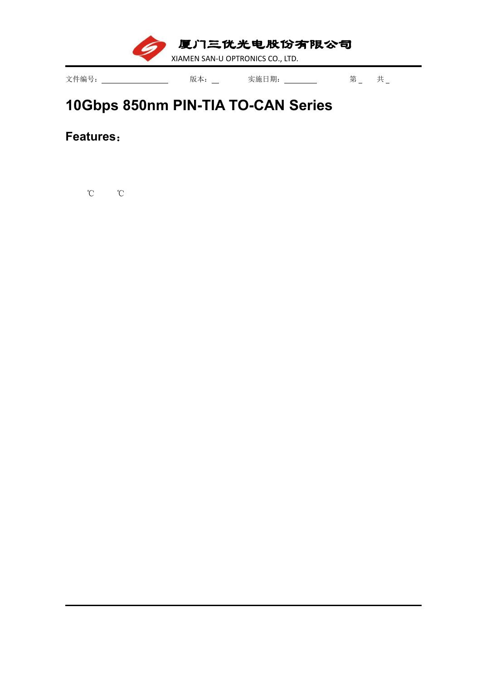厦门三优光电股份有限公司

XIAMEN SAN-U OPTRONICS CO., LTD.

文件编号: \_\_\_\_\_\_\_\_\_\_\_\_\_\_\_\_\_\_ 版本: \_\_ 实施日期: \_\_\_\_\_\_\_\_\_ 第 \_ 共 \_

## **10Gbps 850nm PIN-TIA TO-CAN [Series](file:///C:/Users/Administrator/AppData/Local/youdao/dict/Application/7.5.2.0/resultui/dict/?keyword=series)**

**Features**:

℃ ℃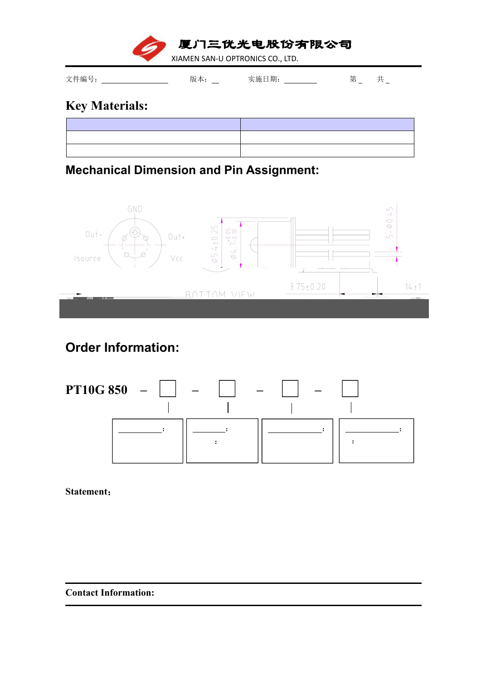厦门三优光电股份有限公司

XIAMEN SAN-U OPTRONICS CO., LTD.

文件编号: \_\_\_\_\_\_\_\_\_\_\_\_\_\_\_\_\_\_ 版本: \_\_ 实施日期: \_\_\_\_\_\_\_\_ 第 \_ 共 \_

## **Key Materials:**

**Mechanical Dimension and Pin Assignment:**



## **Order Information:**



**Statement**:

**Contact Information:**